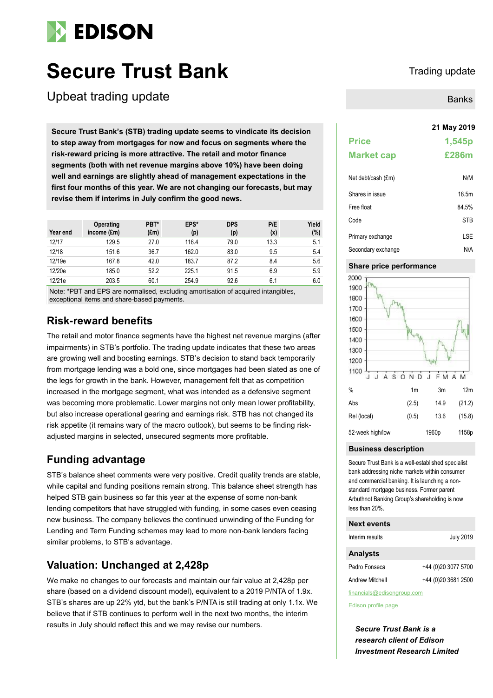# **EDISON**

# **Secure Trust Bank** Trading update

Upbeat trading update

**21 May 2019 Secure Trust Bank's (STB) trading update seems to vindicate its decision to step away from mortgages for now and focus on segments where the risk-reward pricing is more attractive. The retail and motor finance segments (both with net revenue margins above 10%) have been doing well and earnings are slightly ahead of management expectations in the first four months of this year. We are not changing our forecasts, but may revise them if interims in July confirm the good news.** 

| Year end | <b>Operating</b><br>income (£m) | PBT*<br>$(\text{Em})$ | EPS*<br>(p) | <b>DPS</b><br>(p) | P/E<br>(x) | Yield<br>(%) |
|----------|---------------------------------|-----------------------|-------------|-------------------|------------|--------------|
| 12/17    | 129.5                           | 27.0                  | 116.4       | 79.0              | 13.3       | 5.1          |
| 12/18    | 151.6                           | 36.7                  | 162.0       | 83.0              | 9.5        | 5.4          |
| 12/19e   | 167.8                           | 42.0                  | 183.7       | 87.2              | 8.4        | 5.6          |
| 12/20e   | 185.0                           | 52.2                  | 225.1       | 91.5              | 6.9        | 5.9          |
| 12/21e   | 203.5                           | 60.1                  | 254.9       | 92.6              | 6.1        | 6.0          |

Note: \*PBT and EPS are normalised, excluding amortisation of acquired intangibles, exceptional items and share-based payments.

## **Risk-reward benefits**

The retail and motor finance segments have the highest net revenue margins (after impairments) in STB's portfolio. The trading update indicates that these two areas are growing well and boosting earnings. STB's decision to stand back temporarily from mortgage lending was a bold one, since mortgages had been slated as one of the legs for growth in the bank. However, management felt that as competition increased in the mortgage segment, what was intended as a defensive segment was becoming more problematic. Lower margins not only mean lower profitability, but also increase operational gearing and earnings risk. STB has not changed its risk appetite (it remains wary of the macro outlook), but seems to be finding riskadjusted margins in selected, unsecured segments more profitable.

# **Funding advantage**

STB's balance sheet comments were very positive. Credit quality trends are stable, while capital and funding positions remain strong. This balance sheet strength has helped STB gain business so far this year at the expense of some non-bank lending competitors that have struggled with funding, in some cases even ceasing new business. The company believes the continued unwinding of the Funding for Lending and Term Funding schemes may lead to more non-bank lenders facing similar problems, to STB's advantage.

# **Valuation: Unchanged at 2,428p**

We make no changes to our forecasts and maintain our fair value at 2,428p per share (based on a dividend discount model), equivalent to a 2019 P/NTA of 1.9x. STB's shares are up 22% ytd, but the bank's P/NTA is still trading at only 1.1x. We believe that if STB continues to perform well in the next two months, the interim results in July should reflect this and we may revise our numbers.

Banks

|                    | 21 May 2019 |
|--------------------|-------------|
| Price              | 1,545p      |
| <b>Market cap</b>  | £286m       |
| Net debt/cash (£m) | N/M         |
| Shares in issue    | 18.5m       |
| Free float         | 84 5%       |
| Code               | <b>STB</b>  |
| Primary exchange   | LSE         |
| Secondary exchange | N/A         |

### **Share price performance**



### **Business description**

Secure Trust Bank is a well-established specialist bank addressing niche markets within consumer and commercial banking. It is launching a nonstandard mortgage business. Former parent Arbuthnot Banking Group's shareholding is now less than 20%.

#### **Next events**

| Interim results            | <b>July 2019</b>    |  |  |  |
|----------------------------|---------------------|--|--|--|
| <b>Analysts</b>            |                     |  |  |  |
| Pedro Fonseca              | +44 (0)20 3077 5700 |  |  |  |
| Andrew Mitchell            | +44 (0)20 3681 2500 |  |  |  |
| financials@edisongroup.com |                     |  |  |  |

### [Edison profile page](https://www.edisongroup.com/company/secure-trust-bank)

*Secure Trust Bank is a research client of Edison Investment Research Limited*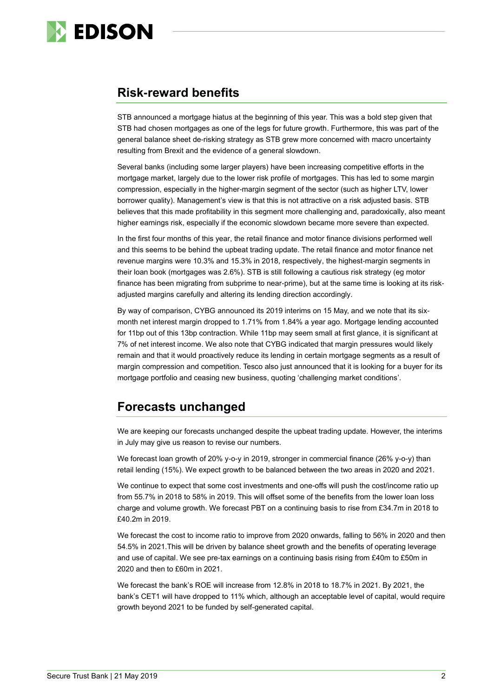

# **Risk-reward benefits**

STB announced a mortgage hiatus at the beginning of this year. This was a bold step given that STB had chosen mortgages as one of the legs for future growth. Furthermore, this was part of the general balance sheet de-risking strategy as STB grew more concerned with macro uncertainty resulting from Brexit and the evidence of a general slowdown.

Several banks (including some larger players) have been increasing competitive efforts in the mortgage market, largely due to the lower risk profile of mortgages. This has led to some margin compression, especially in the higher-margin segment of the sector (such as higher LTV, lower borrower quality). Management's view is that this is not attractive on a risk adjusted basis. STB believes that this made profitability in this segment more challenging and, paradoxically, also meant higher earnings risk, especially if the economic slowdown became more severe than expected.

In the first four months of this year, the retail finance and motor finance divisions performed well and this seems to be behind the upbeat trading update. The retail finance and motor finance net revenue margins were 10.3% and 15.3% in 2018, respectively, the highest-margin segments in their loan book (mortgages was 2.6%). STB is still following a cautious risk strategy (eg motor finance has been migrating from subprime to near-prime), but at the same time is looking at its riskadjusted margins carefully and altering its lending direction accordingly.

By way of comparison, CYBG announced its 2019 interims on 15 May, and we note that its sixmonth net interest margin dropped to 1.71% from 1.84% a year ago. Mortgage lending accounted for 11bp out of this 13bp contraction. While 11bp may seem small at first glance, it is significant at 7% of net interest income. We also note that CYBG indicated that margin pressures would likely remain and that it would proactively reduce its lending in certain mortgage segments as a result of margin compression and competition. Tesco also just announced that it is looking for a buyer for its mortgage portfolio and ceasing new business, quoting 'challenging market conditions'.

# **Forecasts unchanged**

We are keeping our forecasts unchanged despite the upbeat trading update. However, the interims in July may give us reason to revise our numbers.

We forecast loan growth of 20% y-o-y in 2019, stronger in commercial finance (26% y-o-y) than retail lending (15%). We expect growth to be balanced between the two areas in 2020 and 2021.

We continue to expect that some cost investments and one-offs will push the cost/income ratio up from 55.7% in 2018 to 58% in 2019. This will offset some of the benefits from the lower loan loss charge and volume growth. We forecast PBT on a continuing basis to rise from £34.7m in 2018 to £40.2m in 2019.

We forecast the cost to income ratio to improve from 2020 onwards, falling to 56% in 2020 and then 54.5% in 2021.This will be driven by balance sheet growth and the benefits of operating leverage and use of capital. We see pre-tax earnings on a continuing basis rising from £40m to £50m in 2020 and then to £60m in 2021.

We forecast the bank's ROE will increase from 12.8% in 2018 to 18.7% in 2021. By 2021, the bank's CET1 will have dropped to 11% which, although an acceptable level of capital, would require growth beyond 2021 to be funded by self-generated capital.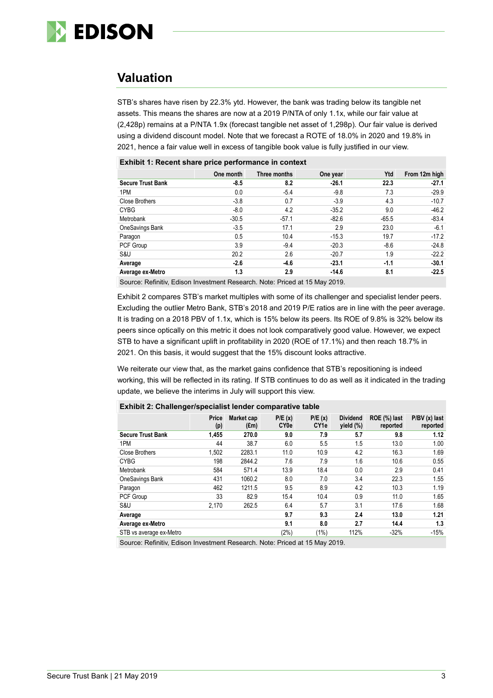

# **Valuation**

STB's shares have risen by 22.3% ytd. However, the bank was trading below its tangible net assets. This means the shares are now at a 2019 P/NTA of only 1.1x, while our fair value at (2,428p) remains at a P/NTA 1.9x (forecast tangible net asset of 1,298p). Our fair value is derived using a dividend discount model. Note that we forecast a ROTE of 18.0% in 2020 and 19.8% in 2021, hence a fair value well in excess of tangible book value is fully justified in our view.

|                          | . .<br>. . |              |          |         |               |
|--------------------------|------------|--------------|----------|---------|---------------|
|                          | One month  | Three months | One year | Ytd     | From 12m high |
| <b>Secure Trust Bank</b> | $-8.5$     | 8.2          | $-26.1$  | 22.3    | $-27.1$       |
| 1PM                      | 0.0        | $-5.4$       | $-9.8$   | 7.3     | $-29.9$       |
| <b>Close Brothers</b>    | $-3.8$     | 0.7          | $-3.9$   | 4.3     | $-10.7$       |
| <b>CYBG</b>              | $-8.0$     | 4.2          | $-35.2$  | 9.0     | $-46.2$       |
| Metrobank                | $-30.5$    | $-57.1$      | $-82.6$  | $-65.5$ | $-83.4$       |
| OneSavings Bank          | $-3.5$     | 17.1         | 2.9      | 23.0    | $-6.1$        |
| Paragon                  | 0.5        | 10.4         | $-15.3$  | 19.7    | $-17.2$       |
| PCF Group                | 3.9        | $-9.4$       | $-20.3$  | $-8.6$  | $-24.8$       |
| S&U                      | 20.2       | 2.6          | $-20.7$  | 1.9     | $-22.2$       |
| Average                  | $-2.6$     | $-4.6$       | $-23.1$  | $-1.1$  | $-30.1$       |
| Average ex-Metro         | 1.3        | 2.9          | $-14.6$  | 8.1     | $-22.5$       |

**Exhibit 1: Recent share price performance in context**

Source: Refinitiv, Edison Investment Research. Note: Priced at 15 May 2019.

Exhibit 2 compares STB's market multiples with some of its challenger and specialist lender peers. Excluding the outlier Metro Bank, STB's 2018 and 2019 P/E ratios are in line with the peer average. It is trading on a 2018 PBV of 1.1x, which is 15% below its peers. Its ROE of 9.8% is 32% below its peers since optically on this metric it does not look comparatively good value. However, we expect STB to have a significant uplift in profitability in 2020 (ROE of 17.1%) and then reach 18.7% in 2021. On this basis, it would suggest that the 15% discount looks attractive.

We reiterate our view that, as the market gains confidence that STB's repositioning is indeed working, this will be reflected in its rating. If STB continues to do as well as it indicated in the trading update, we believe the interims in July will support this view.

|                          | Price<br>(p) | Market cap<br>$(\text{Em})$ | P/E(x)<br>CY <sub>0e</sub> | P/E(x)<br>CY <sub>1e</sub> | <b>Dividend</b><br>yield (%) | ROE (%) last<br>reported | $P/BV(x)$ last<br>reported |
|--------------------------|--------------|-----------------------------|----------------------------|----------------------------|------------------------------|--------------------------|----------------------------|
| <b>Secure Trust Bank</b> | 1,455        | 270.0                       | 9.0                        | 7.9                        | 5.7                          | 9.8                      | 1.12                       |
| 1PM                      | 44           | 38.7                        | 6.0                        | 5.5                        | 1.5                          | 13.0                     | 1.00                       |
| <b>Close Brothers</b>    | 1.502        | 2283.1                      | 11.0                       | 10.9                       | 4.2                          | 16.3                     | 1.69                       |
| <b>CYBG</b>              | 198          | 2844.2                      | 7.6                        | 7.9                        | 1.6                          | 10.6                     | 0.55                       |
| Metrobank                | 584          | 571.4                       | 13.9                       | 18.4                       | 0.0                          | 2.9                      | 0.41                       |
| OneSavings Bank          | 431          | 1060.2                      | 8.0                        | 7.0                        | 3.4                          | 22.3                     | 1.55                       |
| Paragon                  | 462          | 1211.5                      | 9.5                        | 8.9                        | 4.2                          | 10.3                     | 1.19                       |
| PCF Group                | 33           | 82.9                        | 15.4                       | 10.4                       | 0.9                          | 11.0                     | 1.65                       |
| S&U                      | 2,170        | 262.5                       | 6.4                        | 5.7                        | 3.1                          | 17.6                     | 1.68                       |
| Average                  |              |                             | 9.7                        | 9.3                        | 2.4                          | 13.0                     | 1.21                       |
| Average ex-Metro         |              |                             | 9.1                        | 8.0                        | 2.7                          | 14.4                     | 1.3                        |
| STB vs average ex-Metro  |              |                             | (2%)                       | (1%)                       | 112%                         | $-32%$                   | $-15%$                     |
|                          |              |                             |                            |                            |                              |                          |                            |

Source: Refinitiv, Edison Investment Research. Note: Priced at 15 May 2019.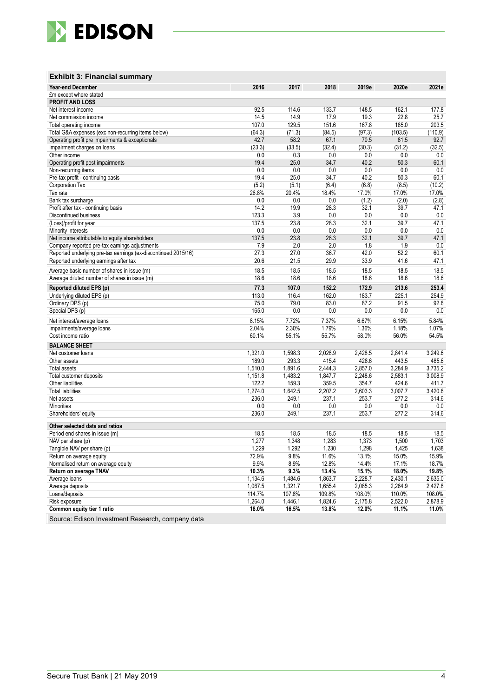

## **Exhibit 3: Financial summary**

| <b>Year-end December</b>                                       | 2016    | 2017    | 2018    | 2019e   | 2020e   | 2021e   |
|----------------------------------------------------------------|---------|---------|---------|---------|---------|---------|
| £m except where stated                                         |         |         |         |         |         |         |
| <b>PROFIT AND LOSS</b>                                         |         |         |         |         |         |         |
| Net interest income                                            | 92.5    | 114.6   | 133.7   | 148.5   | 162.1   | 177.8   |
| Net commission income                                          | 14.5    | 14.9    | 17.9    | 19.3    | 22.8    | 25.7    |
| Total operating income                                         | 107.0   | 129.5   | 151.6   | 167.8   | 185.0   | 203.5   |
| Total G&A expenses (exc non-recurring items below)             | (64.3)  | (71.3)  | (84.5)  | (97.3)  | (103.5) | (110.9) |
| Operating profit pre impairments & exceptionals                | 42.7    | 58.2    | 67.1    | 70.5    | 81.5    | 92.7    |
| Impairment charges on loans                                    | (23.3)  | (33.5)  | (32.4)  | (30.3)  | (31.2)  | (32.5)  |
| Other income                                                   | 0.0     | 0.3     | 0.0     | 0.0     | 0.0     | 0.0     |
| Operating profit post impairments                              | 19.4    | 25.0    | 34.7    | 40.2    | 50.3    | 60.1    |
| Non-recurring items                                            | 0.0     | 0.0     | 0.0     | 0.0     | 0.0     | 0.0     |
| Pre-tax profit - continuing basis                              | 19.4    | 25.0    | 34.7    | 40.2    | 50.3    | 60.1    |
| Corporation Tax                                                | (5.2)   | (5.1)   | (6.4)   | (6.8)   | (8.5)   | (10.2)  |
| Tax rate                                                       | 26.8%   | 20.4%   | 18.4%   | 17.0%   | 17.0%   | 17.0%   |
| Bank tax surcharge                                             | 0.0     | 0.0     | 0.0     | (1.2)   | (2.0)   | (2.8)   |
| Profit after tax - continuing basis                            | 14.2    | 19.9    | 28.3    | 32.1    | 39.7    | 47.1    |
| Discontinued business                                          | 123.3   | 3.9     | 0.0     | 0.0     | 0.0     | 0.0     |
| (Loss)/profit for year                                         | 137.5   | 23.8    | 28.3    | 32.1    | 39.7    | 47.1    |
| Minority interests                                             | 0.0     | 0.0     | 0.0     | 0.0     | 0.0     | 0.0     |
| Net income attributable to equity shareholders                 | 137.5   | 23.8    | 28.3    | 32.1    | 39.7    | 47.1    |
| Company reported pre-tax earnings adjustments                  | 7.9     | 2.0     | 2.0     | 1.8     | 1.9     | 0.0     |
| Reported underlying pre-tax earnings (ex-discontinued 2015/16) | 27.3    | 27.0    | 36.7    | 42.0    | 52.2    | 60.1    |
| Reported underlying earnings after tax                         | 20.6    | 21.5    | 29.9    | 33.9    | 41.6    | 47.1    |
| Average basic number of shares in issue (m)                    | 18.5    | 18.5    | 18.5    | 18.5    | 18.5    | 18.5    |
| Average diluted number of shares in issue (m)                  | 18.6    | 18.6    | 18.6    | 18.6    | 18.6    | 18.6    |
| Reported diluted EPS (p)                                       | 77.3    | 107.0   | 152.2   | 172.9   | 213.6   | 253.4   |
| Underlying diluted EPS (p)                                     | 113.0   | 116.4   | 162.0   | 183.7   | 225.1   | 254.9   |
| Ordinary DPS (p)                                               | 75.0    | 79.0    | 83.0    | 87.2    | 91.5    | 92.6    |
| Special DPS (p)                                                | 165.0   | 0.0     | 0.0     | 0.0     | 0.0     | 0.0     |
| Net interest/average loans                                     | 8.15%   | 7.72%   | 7.37%   | 6.67%   | 6.15%   | 5.84%   |
| Impairments/average loans                                      | 2.04%   | 2.30%   | 1.79%   | 1.36%   | 1.18%   | 1.07%   |
| Cost income ratio                                              | 60.1%   | 55.1%   | 55.7%   | 58.0%   | 56.0%   | 54.5%   |
| <b>BALANCE SHEET</b>                                           |         |         |         |         |         |         |
| Net customer loans                                             | 1,321.0 | 1,598.3 | 2,028.9 | 2,428.5 | 2,841.4 | 3,249.6 |
| Other assets                                                   | 189.0   | 293.3   | 415.4   | 428.6   | 443.5   | 485.6   |
| <b>Total assets</b>                                            | 1,510.0 | 1,891.6 | 2,444.3 | 2,857.0 | 3,284.9 | 3,735.2 |
| Total customer deposits                                        | 1,151.8 | 1,483.2 | 1,847.7 | 2,248.6 | 2,583.1 | 3,008.9 |
| Other liabilities                                              | 122.2   | 159.3   | 359.5   | 354.7   | 424.6   | 411.7   |
| <b>Total liabilities</b>                                       | 1,274.0 | 1,642.5 | 2,207.2 | 2,603.3 | 3,007.7 | 3,420.6 |
| Net assets                                                     | 236.0   | 249.1   | 237.1   | 253.7   | 277.2   | 314.6   |
| <b>Minorities</b>                                              | 0.0     | 0.0     | 0.0     | 0.0     | 0.0     | 0.0     |
| Shareholders' equity                                           | 236.0   | 249.1   | 237.1   | 253.7   | 277.2   | 314.6   |
| Other selected data and ratios                                 |         |         |         |         |         |         |
| Period end shares in issue (m)                                 | 18.5    | 18.5    | 18.5    | 18.5    | 18.5    | 18.5    |
| NAV per share (p)                                              | 1,277   | 1,348   | 1,283   | 1,373   | 1,500   | 1,703   |
| Tangible NAV per share (p)                                     | 1,229   | 1,292   | 1,230   | 1,298   | 1,425   | 1,638   |
| Return on average equity                                       | 72.9%   | 9.8%    | 11.6%   | 13.1%   | 15.0%   | 15.9%   |
| Normalised return on average equity                            | 9.9%    | 8.9%    | 12.8%   | 14.4%   | 17.1%   | 18.7%   |
| Return on average TNAV                                         | 10.3%   | 9.3%    | 13.4%   | 15.1%   | 18.0%   | 19.8%   |
| Average loans                                                  | 1,134.6 | 1,484.6 | 1,863.7 | 2,228.7 | 2,430.1 | 2,635.0 |
| Average deposits                                               | 1,067.5 | 1,321.7 | 1,655.4 | 2,085.3 | 2,264.9 | 2,427.8 |
| Loans/deposits                                                 | 114.7%  | 107.8%  | 109.8%  | 108.0%  | 110.0%  | 108.0%  |
| Risk exposure                                                  | 1,264.0 | 1,446.1 | 1,824.6 | 2,175.8 | 2,522.0 | 2,878.9 |
| Common equity tier 1 ratio                                     | 18.0%   | 16.5%   | 13.8%   | 12.0%   | 11.1%   | 11.0%   |
| Source: Edison Investment Research, company data               |         |         |         |         |         |         |